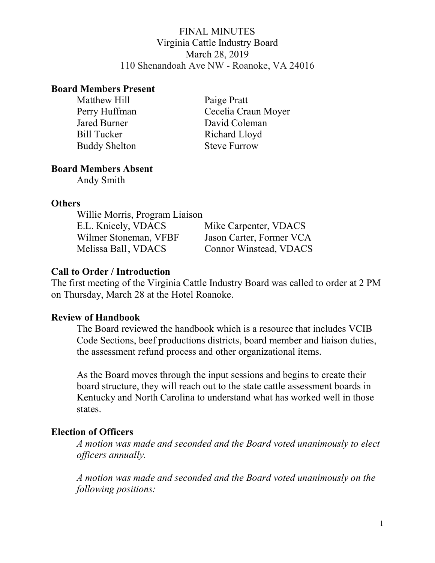## FINAL MINUTES Virginia Cattle Industry Board March 28, 2019 110 Shenandoah Ave NW - Roanoke, VA 24016

### Board Members Present

Matthew Hill Paige Pratt Bill Tucker Richard Lloyd Buddy Shelton Steve Furrow

Perry Huffman Cecelia Craun Moyer Jared Burner David Coleman

## Board Members Absent

Andy Smith

### **Others**

| Willie Morris, Program Liaison |                          |
|--------------------------------|--------------------------|
| E.L. Knicely, VDACS            | Mike Carpenter, VDACS    |
| Wilmer Stoneman, VFBF          | Jason Carter, Former VCA |
| Melissa Ball, VDACS            | Connor Winstead, VDACS   |

# Call to Order / Introduction

The first meeting of the Virginia Cattle Industry Board was called to order at 2 PM on Thursday, March 28 at the Hotel Roanoke.

# Review of Handbook

The Board reviewed the handbook which is a resource that includes VCIB Code Sections, beef productions districts, board member and liaison duties, the assessment refund process and other organizational items.

As the Board moves through the input sessions and begins to create their board structure, they will reach out to the state cattle assessment boards in Kentucky and North Carolina to understand what has worked well in those states.

# Election of Officers

A motion was made and seconded and the Board voted unanimously to elect officers annually.

A motion was made and seconded and the Board voted unanimously on the following positions: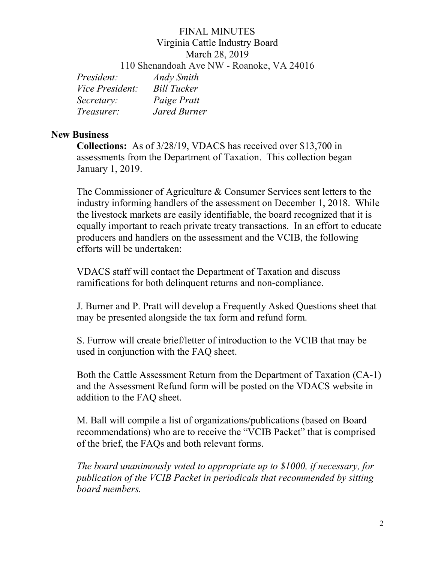# FINAL MINUTES Virginia Cattle Industry Board March 28, 2019

110 Shenandoah Ave NW - Roanoke, VA 24016

| President:             | <b>Andy Smith</b>  |
|------------------------|--------------------|
| <i>Vice President:</i> | <b>Bill Tucker</b> |
| Secretary:             | Paige Pratt        |
| <i>Treasurer:</i>      | Jared Burner       |

# New Business

Collections: As of 3/28/19, VDACS has received over \$13,700 in assessments from the Department of Taxation. This collection began January 1, 2019.

The Commissioner of Agriculture & Consumer Services sent letters to the industry informing handlers of the assessment on December 1, 2018. While the livestock markets are easily identifiable, the board recognized that it is equally important to reach private treaty transactions. In an effort to educate producers and handlers on the assessment and the VCIB, the following efforts will be undertaken:

VDACS staff will contact the Department of Taxation and discuss ramifications for both delinquent returns and non-compliance.

J. Burner and P. Pratt will develop a Frequently Asked Questions sheet that may be presented alongside the tax form and refund form.

S. Furrow will create brief/letter of introduction to the VCIB that may be used in conjunction with the FAQ sheet.

Both the Cattle Assessment Return from the Department of Taxation (CA-1) and the Assessment Refund form will be posted on the VDACS website in addition to the FAQ sheet.

M. Ball will compile a list of organizations/publications (based on Board recommendations) who are to receive the "VCIB Packet" that is comprised of the brief, the FAQs and both relevant forms.

The board unanimously voted to appropriate up to \$1000, if necessary, for publication of the VCIB Packet in periodicals that recommended by sitting board members.